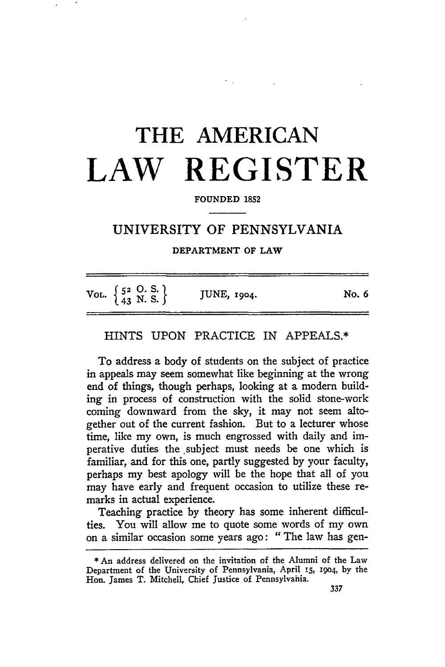# **THE AMERICAN LAW REGISTER**

**FOUNDED 1852**

## UNIVERSITY OF **PENNSYLVANIA**

**DEPARTMENT OF LAW**

| VOL. $\left\{\begin{array}{c} 5^2 \text{ O. S.} \\ 43 \text{ N. S.} \end{array}\right\}$ | JUNE, 1904. | No. 6 |
|------------------------------------------------------------------------------------------|-------------|-------|
|                                                                                          |             |       |

## HINTS **UPON** PRACTICE IN **APPEALS.\***

To address a body of students on the subject of practice in appeals may seem somewhat like beginning at the wrong end of things, though perhaps, looking at a modern building in process of construction with the solid stone-work coming downward from the sky, it may not seem altogether out of the current fashion. But to a lecturer whose time, like my own, is much engrossed with daily and imperative duties the subject must needs be one which is familiar, and for this one, partly suggested by your faculty, perhaps my best apology will be the hope that all of you may have early and frequent occasion to utilize these remarks in actual experience.

Teaching practice by theory has some inherent difficulties. You will allow me to quote some words of my own on a similar occasion some years ago: "The law has gen-

**<sup>\*</sup>** An address delivered on the invitation of the Alumni of the Law Department of the University of Pennsylvania, April **is, 19o4,** by the Hon. James T. Mitchell, Chief Justice of Pennsylvahia.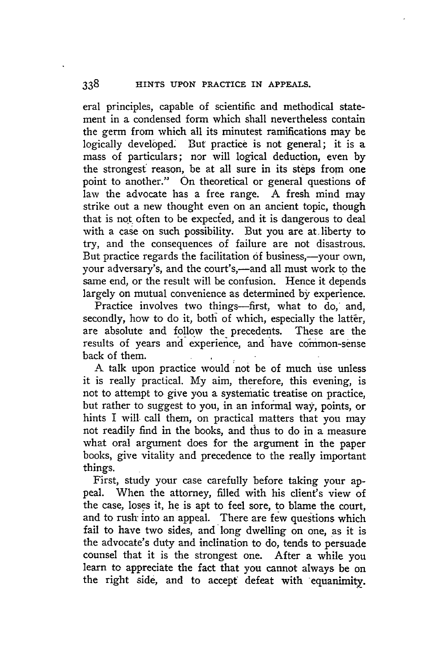#### 338 **HINTS UPON** PRACTICE **IN APPEALS.**

eral principles, capable of scientific and methodical statement in a condensed form which shall nevertheless contain the germ from which all its minutest ramifications may be logically developed. But practice is not general; it is a mass of particulars; nor will logical deduction, even by the strongest reason, be at all sure in its steps from one point to another." On theoretical or general questions of law the advocate has a free range. **A** fresh mind may strike out a new thought even on an ancient topic, though that is not often to be expeded, and it is dangerous to deal with a case on such possibility. But you are at liberty to try, and the consequences of failure are not disastrous. But practice regards the facilitation of business,—your own, your adversary's, and the court's,—and all must work to the same end, or the result will be confusion. Hence it depends largely on mutual convenience as determined **by** experience.

Practice involves two things—first, what to do, and, secondly, how to do it, both of which, especially the latter, are absolute and follow the precedents. These are the results of years and experience, and have common-sense back of them.

A talk upon practice would not be of much use unless it is really practical. My aim, therefore, this evening, is not to attempt to give you a systematic treatise on practice, but rather to suggest to you, in an informal way, points, or hints I will call them, on practical matters that you may not readily find in the books, and thus to do in a measure what oral argument does for the argument in the paper books, give vitality and precedence to the really important things.

First, study your case carefully before taking your appeal. When the attorney, filled with his client's view of the case, loses it, he is apt to feel sore, to blame the court, and to rush into an appeal. There are few questions which fail to have two sides, and long dwelling on one, as it is the advocate's duty and inclination to do, tends to persuade counsel that it is the strongest one. After a while you learn to appreciate the fact that you cannot always be on the right side, and to accept defeat with equanimity.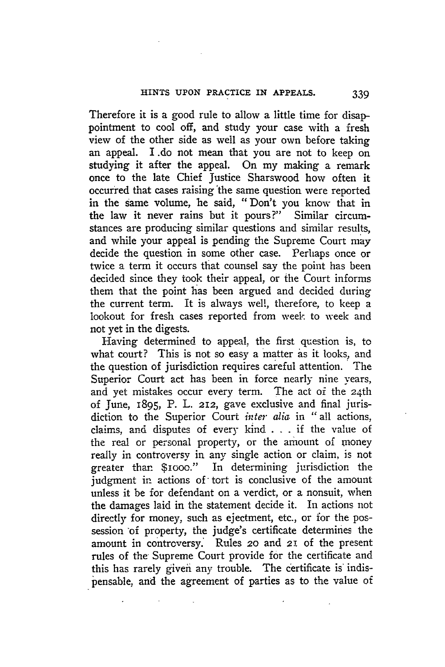Therefore it is a good rule to allow a little time for disappointment to cool off, and study your case with a fresh view of the other side as well as your own before taking an appeal. I .do not mean that you are not to keep on studying it after the appeal. On my making a remark once to the late Chief Justice Sharswood how often it occurred that cases raising the same question were reported in the Same volume, he said, "Don't you know that in the law it never rains but it pours?" Similar circumstances are producing similar questions and similar results, and while your appeal is pending the Supreme Court may decide the question in some other case. Perhaps once or twice a term it occurs that counsel say the point has been decided since they took their appeal, or the Court informs them that the point has been argued and decided during the current term. It is always well, therefore, to keep a lookout for fresh cases reported from week to week and not yet in the digests.

Having determined to appeal, the first question is, to what court? This is not so easy a matter as it looks, and the question of jurisdiction requires careful attention. The Superior Court act has been in force nearly nine years, and yet mistakes occur every term. The act oi the 24th of June, 1895, P. L. 212, gave exclusive and final jurisdiction to the Superior Court *inter alia.* in "all actions, claims, and disputes of every kind **. .** if the value of the real or personal property, or the amount of money really in controversy in any single action or claim, is not greater than \$iooo." In determining jurisdiction the judgment in actions of tort is conclusive of the amount unless it be for defendant on a verdict, or a nonsuit, when the damages laid in the statement decide it. In actions not directly for money, such as ejectment, etc., or for the possession of property, the judge's certificate determines the amount in controversy.' Rules **2o** and **21** of the present rules of the Supreme Court provide for the certificate and this has rarely given any trouble. The certificate is indispensable, and the agreement of parties as to the value of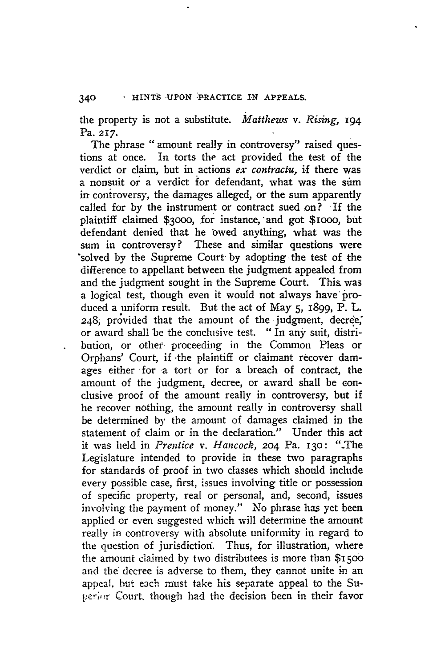the property is not a substitute. *Matthews v. Rising, 194* Pa. **217.**

The phrase "amount really in controversy" raised questions at once. In torts the act provided the test of the verdict or claim, but in actions *ex contractu,* if there was a nonsuit or a verdict for defendant, what was the suim in controversy, the damages alleged, or the sum apparently called for by the instrument or contract sued on? If the plaintiff claimed \$3ooo, for instance, and got \$iooo, but defendant denied that he bwed anything, what was the sum in controversy? These and similar questions were solved by the Supreme Court by adopting the test of the difference to appellant between the judgment appealed from and the judgment sought in the Supreme Court. This was a logical test, though even it would not always have produced a uniform result. But the act of May 5, 1899, P. L. 248; provided that the amount of the judgment, decree, or award shall be the conclusive test. *"* In any- suit, distribution, or other- proceeding in the Common Pleas or Orphans' Court, if -the plaintiff or claimant recover damages either for a tort or for a breach of contract, the amount of the judgment, decree, or award shall be conclusive proof of the amount really in controversy, but if he recover nothing, the amount really in controversy shall be determined by the amount of damages claimed in the statement of claim or in the declaration." Under this act it was held in *Prentice v. Hancock,* **204** Pa. **130:** ".The Legislature intended to provide in these two paragraphs for standards of proof in two classes which should include every possible case, first, issues involving title or possession of specific property, real or personal, and, second, issues involving the payment of money." No phrase has yet been applied or even suggested which will determine the amount really in controversy with absolute uniformity in regard to the question of jurisdiction. Thus, for illustration, where the amount claimed by two distributees is more than **\$1500** and the' decree is adverse to them, they cannot unite in an appeal, but each must take his separate appeal to the Superior Court, though had the decision been in their favor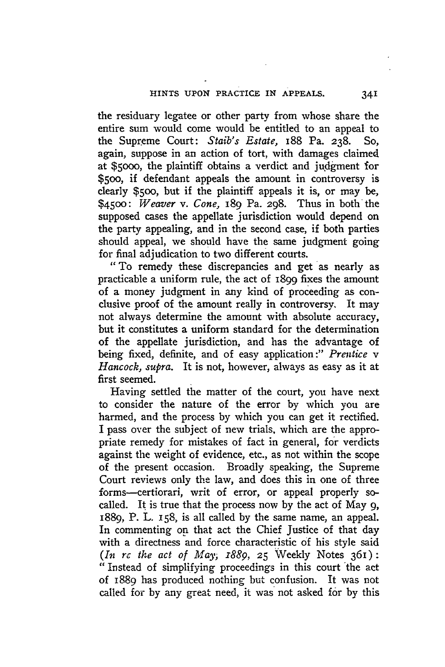the residuary legatee or other party from whose share the entire sum would come would be entitled to an appeal to the Supreme Court: *Staib's Estate,* 188 Pa. 238. So, again, suppose in an action of tort, with damages claimed at **\$5000,** the plaintiff obtains a verdict and judgment for \$5oo, if defendant appeals the amount in controversy is clearly \$5oo, but if the plaintiff appeals it is, or may be, \$4500: *Weaver v. Cone,* 189 Pa. 298. Thus in both'the supposed cases the appellate jurisdiction would depend on the party appealing, and in the second case, if both parties should appeal, we should have the same judgment going for final adjudication to two different courts.

"To remedy these discrepancies and get as nearly as practicable a uniform rule, the act of 1899 fixes the amount of a money judgment in any kind of proceeding as conclusive proof of the amount really in controversy. It may not always determine the amount with absolute accuracy, but it constitutes a uniform standard for the determination of the appellate jurisdiction, and has the advantage of being fixed, definite, and of easy application :" *Prentice v Hancock, supra.* It is not, however, always as easy as it at first seemed.

Having settled the matter of the court, you have next to consider the nature of the error by which you are harmed, and the process by which you can get it rectified. I pass over the subject of new trials, which are the appropriate remedy for mistakes of fact in general, for verdicts against the weight of evidence, etc., as not within the scope of the present occasion. Broadly speaking, the Supreme Court reviews only the law, and does this in one of three forms-certiorari, writ of error, or appeal properly socalled. It is true that the process now by the act of May 9, 1889, P. L. 158, is all called by the same name, an appeal. In commenting on that act the Chief Justice of that day with a directness and force characteristic of his style said *(In* rc *the act of May, 1889,* **25** Weekly Notes 361): "Instead of simplifying proceedings in this court the act of 1889 has produced nothing but confusion. It was not called for by any great need, it was not asked for **by** this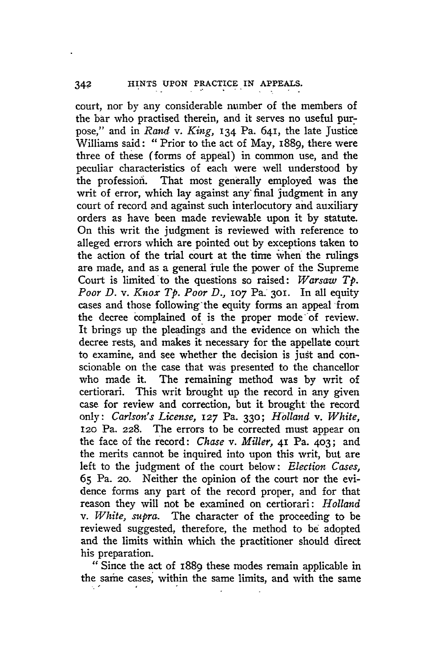court, nor by any considerable number of the members of the bar who practised therein, and it serves no useful purpose," and in *Rand v. King,* **134** Pa. 641, the late Justice Williams said: "Prior to the act of May, 1889, there were three of these (forms of appeal) in common use, and the peculiar characteristics of each were well understood by the profession. That most generally employed was the writ of error, which lay against any final judgment in any court of record and against such interlocutory and auxiliary orders as have been made reviewable upon it by statute. On this writ the judgment is reviewed with reference to alleged errors which are pointed out by exceptions taken to the action of the trial court at the time when the rulings are made, and as a general rule the power of the Supreme Court is limited to the questions so raised: *Warsaw Tp. Poor D. v. Knox Tp. Poor D.,* **107** Pa. **301.** In all equity cases and those following'the equity forms an appeal from the decree complained of is the proper mode of review. It brings up the pleadings and the evidence on which the decree rests, and makes it necessary for the appellate court to examine, and see whether the decision is just and conscionable on the case that was presented to the chancellor who made it. The remaining method was by writ of certiorari. This writ brought up the record in any given case for review and correction, but it brought the record only: *Carlson's License,* **127** Pa. **330;** *Holland v. White,* **120** Pa. **228.** The errors to be corrected must appear on the face of the record: *Chase v. Miller,* **41** Pa. 403; and the merits cannot be inquired into upon this writ, but are left to the judgment of the court below: *Election Cases, 65* Pa. **2o.** Neither the opinion of the court nor the evidence forms any part of the record proper, and for that reason they will not be examined on certiorari: *Holland v. White, supra.* The character of the proceeding to be reviewed suggested, therefore, the method to be adopted and the limits within which the practitioner should direct his preparation.

"Since the act of 1889 these modes remain applicable in the same cases, within the same limits, and with the same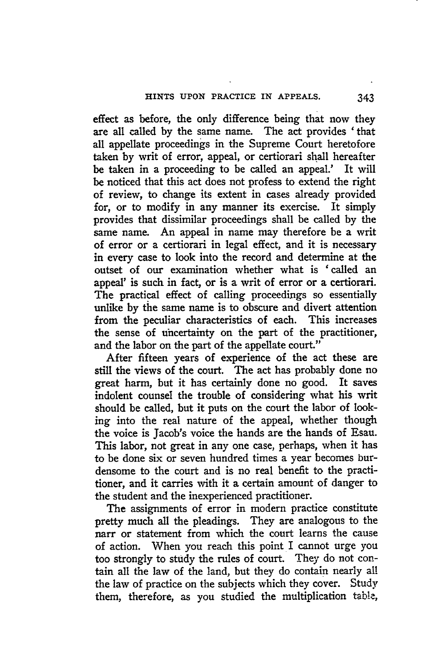effect as before, the only difference being that now they are all called **by** the same name. The act provides 'that all appellate proceedings in the Supreme Court heretofore taken **by** writ of error, appeal, or certiorari shall hereafter be taken in a proceeding to be called an appeal.' It will be noticed that this act does not profess to extend the right of review, to change its extent in cases already provided for, or to modify in any manner its exercise. It simply provides that dissimilar proceedings shall be called **by** the same name. An appeal in name may therefore be a writ of error or a certiorari in legal effect, and it is necessary in every case to look into the record and determine at the outset of our examination whether what is 'called an appeal' is such in fact, or is a writ of error or a certiorari. The practical effect of calling proceedings so essentially unlike **by the** same name is to obscure and divert attention from the peculiar characteristics of each. This increases the sense of uncertainty on the part of the practitioner, and the labor on the part of the appellate court."

After fifteen years of experience of the act these are still the views of the court. The act has probably done no great harm, but it has certainly done no good. It saves indolent counsel the trouble of considering what his writ should be called, but it puts on the court the labor of looking into the real nature of the appeal, whether though the voice is Jacob's voice the hands are the hands of Esau. This labor, not great in any one case, perhaps, when it has to be done six or seven hundred times a year becomes burdensome to the court and is no real benefit to the practitioner, and it carries with it a certain amount of danger to the student and the inexperienced practitioner.

The assignments of error in modern practice constitute pretty much all the pleadings. They are analogous to the narr or statement from which the court learns the cause of action. When you reach this point I cannot urge you too strongly to study the rules of court. They do not contain all the law of the land, but they do contain nearly all the law of practice on the subjects which they cover. Study them, therefore, as you studied the multiplication table,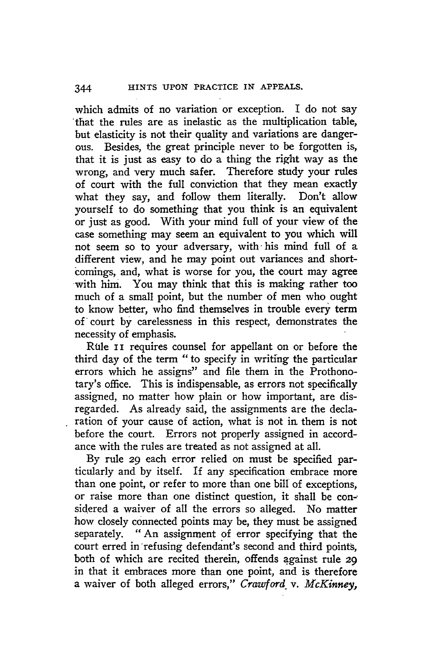#### 344 **HINTS UPON** PRACTICE **IN APPEALS.**

which admits of no variation or exception. I do not say that the rules are as inelastic as the multiplication table, but elasticity is not their quality and variations are dangerous. Besides, the great principle never to be forgotten is, that it is just as easy to do a thing the right way as the wrong, and very much safer. Therefore study your rules of court with the full conviction that they mean exactly what they say, and follow them literally. Don't allow yourself to do something that you think is an equivalent or just as good. With your mind full of your view of the case something may seem an equivalent to you which will not seem so to your adversary, with his mind full of a different view, and he may point out variances and shortcomings, and, what is worse for you, the court may agree with him. You may think that this is making rather too much of a small point, but the number of men who ought to know better, who find themselves in trouble every term of court **by** carelessness in this respect, demonstrates the necessity of emphasis.

Rule II requires counsel for appellant on or before the third day of the term "to specify in writing the particular errors which he assigns" and file them in the Prothonotary's office. This is indispensable, as errors not specifically assigned, no matter how plain or how important, are disregarded. As already said, the assignments are the declaration of your cause of action, what is not **ir** them is not before the court. Errors not properly assigned in accordance with the rules are treated as not assigned at all.

**By** rule 29 each error relied on must be specified particularly and **by** itself. If any specification embrace more than one point, or refer to more than one bill of exceptions, or raise more than one distinct question, it shall be considered a waiver of all the errors so alleged. No matter how closely connected points may be, they must be assigned separately. "An assignment of error specifying that the court erred in refusing defendant's second and third points, both of which are recited therein, offends against rule 29 in that it embraces more than one point, and is therefore a waiver of both alleged errors," *Crawford v. McKinney,*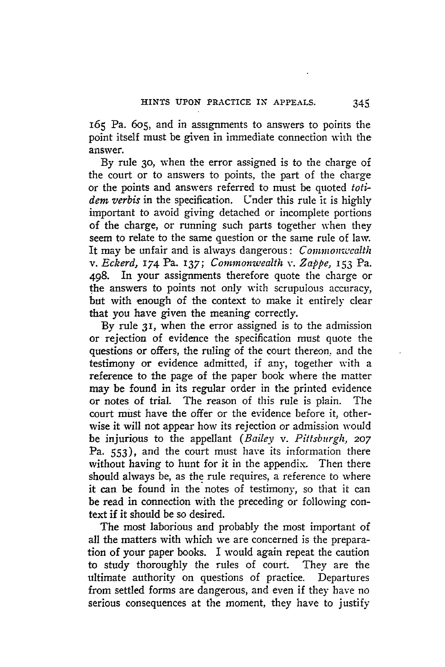165 Pa. 6o5, and in assignments to answers to points the point itself must be given in immediate connection with the answer.

By rule **30,** when the error assigned is to the charge of the court or to answers to points, the part of the charge or the points and answers referred to must be quoted toti*dem verbis* in the specification. Under this rule it is highly important to avoid giving detached or incomplete portions of the charge, or running such parts together when they seem to relate to the same question or the same rule of law. It may be unfair and is always dangerous: *Commonwealth v. Eckerd,* **174** Pa. **137;** *Commonwealth v. Zappe, 153* Pa. 498. In your assignments therefore quote the charge or the answers to points not only with scrupulous accuracy, but with enough of the context to make it entirely clear that you have given the meaning correctly.

By rule **31,** when the error assigned is to the admission or rejection of evidence the specification must quote the questions or offers, the ruling of the court thereon. and the testimony or evidence admitted, if any, together with a reference to the page of the paper book where the matter may be found in its regular order in the printed evidence or notes of trial. The reason of this rule is plain. The court must have the offer or the evidence before it, otherwise it will not appear how its rejection or admission would be injurious to the appellant *(Bailey v. Pittsburgh, 207* Pa. 553), and the court must have its information there without having to hunt for it in the appendix. Then there should always be, as the rule requires, a reference to where it can be found in the notes of testimony, so that it can be read in connection with the preceding or following context if it should be so desired.

The most laborious and probably the most important of all the matters with which we are concerned is the preparation of your paper books. I would again repeat the caution to study thoroughly the rules of court. They are the ultimate authority on questions of practice. Departures from settled forms are dangerous, and even if they have no serious consequences at the moment, they have to justify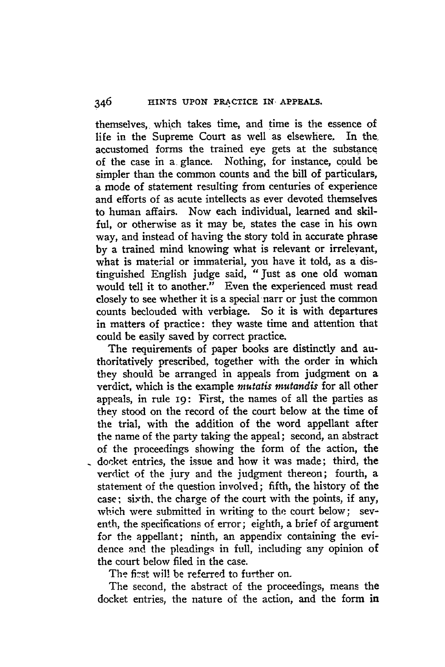themselves, which takes time, and time is the essence of life in the Supreme Court as well as elsewhere. In the, accustomed forms the trained eye gets at the substance of the case in a glance. Nothing, for instance, could be simpler than the common counts and the bill of particulars, a mode of statement resulting from centuries of experience and efforts of as acute intellects as ever devoted themselves to human affairs. Now each individual, learned and skilful, or otherwise as it may be, states the case in his own way, and instead of having the story told in accurate phrase by a trained mind knowing what is relevant or irrelevant, what is material or immaterial, you have it told, as a distinguished English judge said, "Just as one old woman would tell it to another." Even the experienced must read closely to see whether it is a special- narr or just the common counts beclouded with verbiage. So it is with departures in matters of practice: they waste time and attention that could be easily saved by correct practice.

The requirements of paper books are distinctly and authoritatively prescribed, together with the order in which they should be arranged in appeals from judgment on a verdict, which is the example *mutatis mutandis* for all other appeals, in rule **19:** First, the names of all the parties as they stood on the record of the court below at the time of the trial, with the addition of the word appellant after the name of the party taking the appeal; second, an abstract of the proceedings showing the form of the action, the docket entries, the issue and how it was made; third, the verdict of the jury and the judgment thereon; fourth, a statement of the question involved; fifth, the history of the case; sixth, the charge of the court with the points, if any, which were submitted in writing to the court below; seventh, the specifications of error; eighth, a brief **of** argument for the appellant; ninth, an appendix containing the evidence **and** the pleadings in full, including any opinion of the court below filed in the case.

The first will be referred to further on.

The second, the abstract of the proceedings, means the docket entries, the nature of the action, and the form in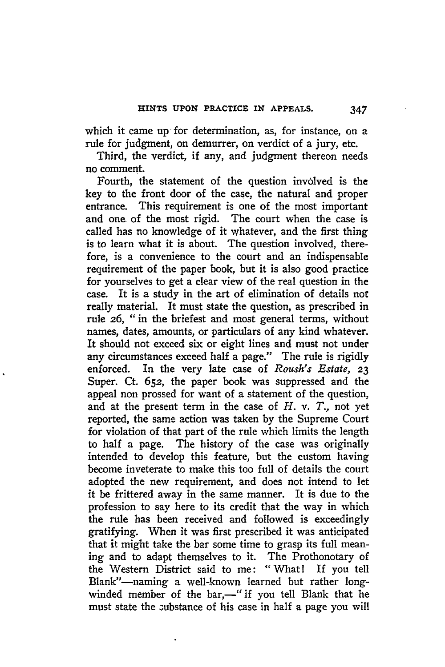which it came up for determination, as, for instance, on a rule for judgment, on demurrer, on verdict of a jury, etc.

Third, the verdict, if any, and judgment thereon needs no comment.

Fourth, the statement of the question involved is the key to the front door of the case, the natural and proper entrance. This requirement is one of the most important and one. of the most rigid. The court when the case is called has no knowledge of it whatever, and the first thing is to learn what it is about. The question involved, therefore, is a convenience to the court and an indispensable requirement of the paper book, but it is also good practice for yourselves to get a clear view of the real question in the case. It is a study in the art of elimination of details not really material. It must state the question, as prescribed in rule **26, "in** the briefest and most general terms, without names, dates, amounts, or particulars of any kind whatever. It should not exceed six or eight lines and must not under any circumstances exceed half a page." The rule is rigidly enforced. In the very late case of *Roush's Estate, 23* Super. Ct. **652,** the paper book was suppressed and the appeal non prossed for want of a statement of the question, and at the present term in the case of *H.* v. *T.,* not yet reported, the same action was taken **by** the Supreme Court for violation of that part of the rule which limits the length to half a page. The history of the case was originally intended to develop this feature, but the custom having become inveterate to make this too full of details the court adopted the new requirement, and does not intend to let it be frittered away in the same manner. It is due to the profession to say here to its credit that the way in which the rule has been received and followed is exceedingly gratifying. When it was first prescribed it was anticipated that it might take the bar some time to grasp its full meaning and to adapt themselves to it. The Prothonotary of the Western District said to me: "What! If you tell Blank"-naming a well-known learned but rather longwinded member of the bar,-" if you tell Blank that he must state the substance of his case in half a page you will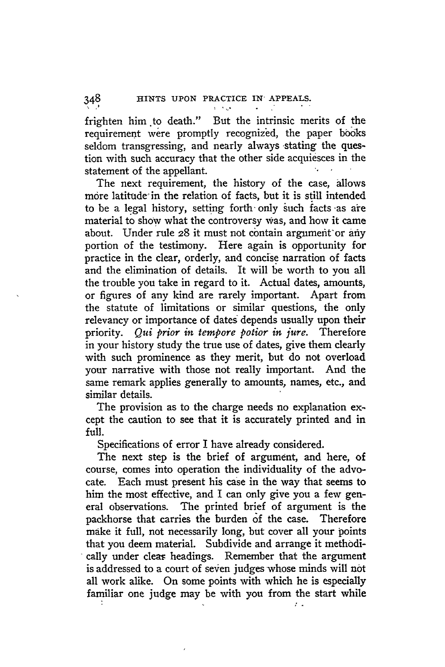frighten him **.to** death." But the intrinsic merits of the requirement were promptly recognized, the paper books seldom transgressing, and nearly always stating the question with such accuracy that the other side acquiesces in the statement of the appellant.

The next requirement, the history of the case, allows more latitude in the relation of facts, but it is still intended to be a legal history, setting forth only such facts as are material to show what the controversy was, and how it came about. Under rule 28 it must not contain argument or any portion of the testimony. Here again is opportunity for practice in the clear, orderly, and concise narration of facts and the elimination of details. It will be worth to you all the trouble you take in regard to it. Actual dates, amounts, or figures of any kind are rarely important. Apart from the statute of limitations or similar questions, the only relevancy or importance of dates depends usually upon their priority. *Qui prior in tempore potior in jure.* Therefore in your history study the true use of dates, give them clearly with such prominence as they merit, but do not overload your narrative with those not really important. And the same remark applies generally to amounts, names, etc., and similar details.

The provision as to the charge needs no explanation except the caution to see that it is accurately printed and in full.

Specifications of error I have already considered.

The next step is the brief of argument, and here, of course, comes into operation the individuality of the advocate. Each must present his case in the way that seems to him the most effective, and I can only give you a few general observations. The printed brief of argument is the packhorse that carries the burden of the case. Therefore make it full, not necessarily long, but cover all your points that you deem material. Subdivide and arrange it methodically under clear headings. Remember that the argument is addressed to a court of seven judges whose minds will not all work alike. On some points with which he is especially familiar one judge may be with you from the start while $\mathcal{L}$ .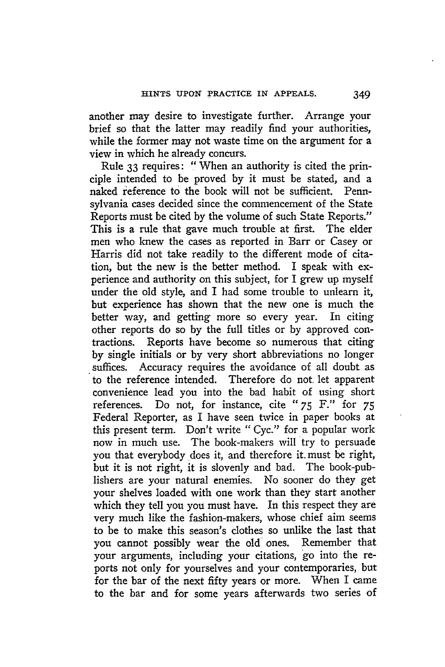another may desire to investigate further. Arrange your brief so that the latter may readily find your authorities, while the former may not waste time on the argument for a view in which he already concurs.

Rule 33 requires: "When an authority is cited the principle intended to be proved by it must be stated, and a naked reference to the book will not be sufficient. Pennsylvania cases decided since the commencement of the State Reports must be cited by the volume of such State Reports." This is a rule that gave much trouble at first. The elder men who knew the cases as reported in Barr or Casey or Harris did not take readily to the different mode of citation, but the new is the better method. I speak with experience and authority on this subject, for I grew up myself under the old style, and I had some trouble to unlearn it, but experience has shown that the new one is much the better way, and getting more so every year. In citing other reports do so by the full titles or by approved contractions. Reports have become so numerous that citing by single initials or by very short abbreviations no longer suffices. Accuracy requires the avoidance of all doubt as to the reference intended. Therefore do not. let apparent convenience lead you into the bad habit of using short references. Do not, for instance, cite "75 F." for 75 Federal Reporter, as I have seen twice in paper books at this present term. Don't write "Cyc." for a popular work now in much use. The book-makers will try to persuade you that everybody does it, and therefore it. must be right, but it is not right, it is slovenly and bad. The book-publishers are your natural enemies. No sooner do they get your shelves loaded with one work than they start another which they tell you you must have. In this respect they are very much like the fashion-makers, whose chief aim seems to be to make this season's clothes so unlike the last that you cannot possibly wear the old ones. Remember that your arguments, including your citations, go into the reports not only for yourselves and your contemporaries, but for the bar of the next fifty years or more. When I came to the bar and for some years afterwards two series of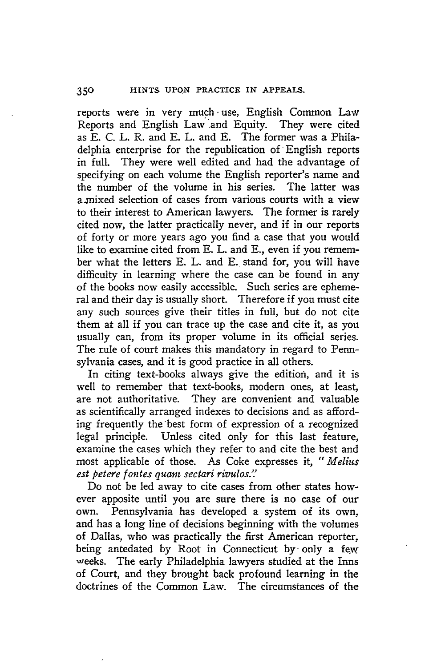reports were in very much use, English Common Law Reports and English Law and Equity. They were cited as **E. C.** L. R. and **E.** L. and **E.** The former was a Philadelphia enterprise for the republication of English reports in full. They were well edited and had the advantage of specifying on each volume the English reporter's name and the number of the volume in his series. The latter was a mixed selection of cases from various courts with a view to their interest to American lawyers. The former is rarely cited now, the latter practically never, and if in our reports of forty or more years ago you find a case that you would like to examine cited from **E.** L. and **E.,** even if you remember what the letters **E.** L. and **E.** stand for, you will have difficulty in learning where the case can be found in any of the books now easily accessible. Such series are ephemeral and their day is usually short. Therefore if you must cite any such sources give their titles in **full,** but do not cite them at all if you can trace up the case and cite it, as you usually can, from its proper volume in its official series. The rule of court makes this mandatory in regard to Pennsylvania cases, and it is good practice in all others.

In citing text-books always give the edition, and it is well to remember that text-books, modern ones, at least, are not authoritative. They are convenient and valuable as scientifically arranged indexes to decisions and as affording frequently the best form of expression of a recognized legal principle. Unless cited only for this last feature, examine the cases which they refer to and cite the best and most applicable of those. As Coke expresses it, *" Melius est petere [ontes quant sectari rivulos."*

Do not be **led** away to cite cases from other states however apposite until you are sure there is no case of our own. Pennsylvania has developed a system of its own, and has a long line of decisions beginning with the volumes of Dallas, who was practically the first American reporter, being antedated **by** Root in Connecticut **by** only a **few** weeks. The early Philadelphia lawyers studied at the Inns of Court, and they brought back profound learning in the doctrines of the Common Law. The circumstances of the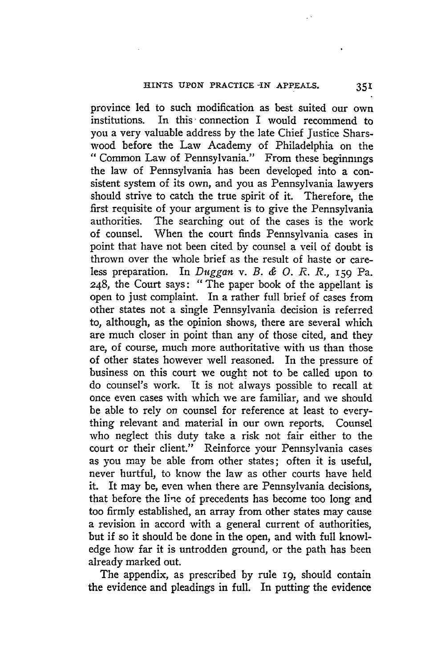province led to such modification as best suited our own institutions. In this connection I would recommend to you a very valuable address by the late Chief Justice Sharswood before the Law Academy of Philadelphia on the **"** Common Law of Pennsylvania." From these beginnings the law of Pennsylvania has been developed into a consistent system of its own, and you as Pennsylvania lawyers should strive to catch the true spirit of it. Therefore, the first requisite of your argument is to give the Pennsylvania authorities. The searching out of the cases is the work of counsel. When the court finds Pennsylvania cases in point that have not been cited by counsel a veil of doubt is thrown over the whole brief as the result of haste or careless preparation. In *Duggan v. B. & 0. R. R.,* I59 Pa. 248, the Court says: "The paper book of the appellant is open to just complaint. In a rather full brief of cases from other states not a single Pennsylvania decision is referred to, although, as the opinion shows, there are several which are much closer in point than any of those cited, and they are, of course, much more authoritative with us than those of other states however well reasoned. In the pressure of business on this court we ought not to be called upon to do counsel's work. It is not always possible to recall at once even cases with which we are familiar, and we should be able to rely on counsel for reference at least to everything relevant and material in our own reports. Counsel who neglect this duty take a risk not fair either to the court or their client." Reinforce your Pennsylvania cases as you may be able from other states; often it is useful, never hurtful, to know the law as other courts have held it. It may be, even when there are Pennsylvania decisions, that before the line of precedents has become too long and too firmly established, an array from other states may cause a revision in accord with a general current of authorities, but if so it should be done in the open, and with full knowledge how far it is untrodden ground, or the path has been already marked out.

The appendix, as prescribed by rule 19, should contain the evidence and pleadings in full. In putting the evidence

351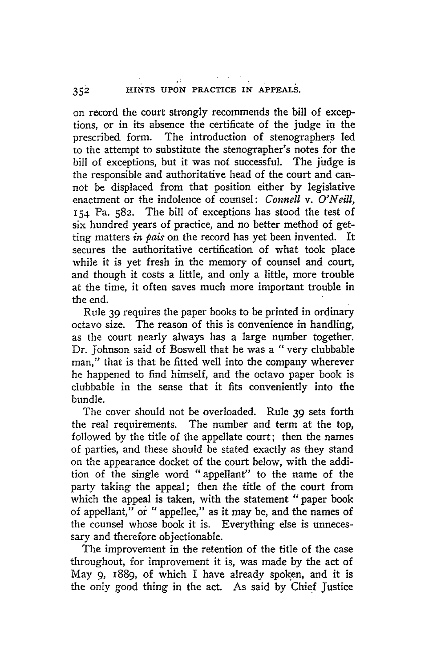#### HINTS **UPON** PRACTICE IN APPEALS.  $35<sup>2</sup>$

on record the court strongly recommends the bill of exceptions, or in its absence the certificate of the judge in the prescribed form. The introduction of stenographers led to the attempt to substitute the stenographer's notes **for** the bill of exceptions, but it was not successful. The judge is the responsible and authoritative head of the court and cannot be displaced from that position either by legislative enactment or the indolence of counsel: *Connell v. O'Neill,* 154 Pa. **582.** The bill of exceptions has stood the test of six hundred years of practice, and no better method of getting matters *in pais* on the record has yet been invented. It secures the authoritative certification of what took place while it is yet fresh in the memory of counsel and court, and though it costs a little, and only a little, more trouble at the time, it often saves much more important trouble in the end.

Rule 39 requires the paper books to be printed in ordinary octavo size. The reason of this is convenience in handling, as the court nearly always has a large number together. Dr. Johnson said of Boswell that he was a "very clubbable man," that is that he fitted well into the company wherever he happened to find himself, and the octavo paper book is clubbable in the sense that it fits conveniently into the bundle.

The cover should not be overloaded. Rule 39 sets forth the real requirements. The number and term at the top, followed by the title of the appellate court; then the names of parties, and these should be stated exactly as they stand on the appearance docket of the court below, with the addition of the single word "appellant" to the name of the party taking the appeal; then the title of the court from which the appeal is taken, with the statement "paper book of appellant," or "appellee," as it may be, and the names of the counsel whose book it is. Everything else is unnecessary and therefore objectionable.

The improvement in the retention of the title of the case throughout, for improvement it is, was made by the act of May 9, 1889, of which I have already spoken, and it is the only good thing in the act. As said by Chief Justice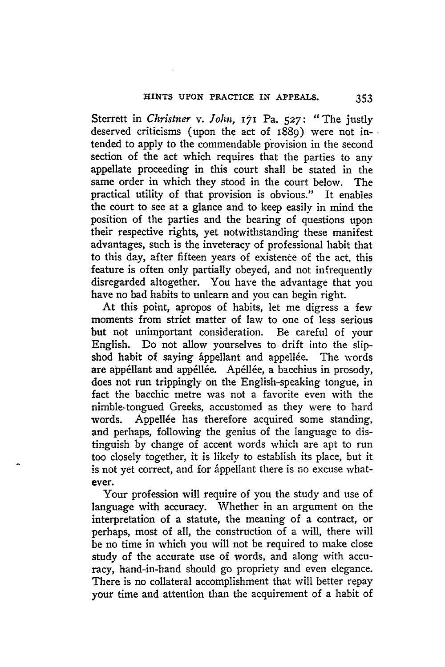Sterrett in *Christner v. John*, 171 Pa. 527: "The justly deserved criticisms (upon the act of 1889) were not intended to apply to the commendable provision in the second section of the act which requires that the parties to any appellate proceeding in this court shall be stated in the same order in which they stood in the court below. The practical utility of that provision is obvious." It enables the court to see at a glance and to keep easily in mind the position of the parties and the bearing of questions upon their respective rights, yet notwithstanding these manifest advantages, such is the inveteracy of professional habit that to this day, after fifteen years of existence of the act, this feature is often only partially obeyed, and not infrequently disregarded altogether. You have the advantage that you have no bad habits to unlearn and you can begin right.

At this point, apropos of habits, let me digress a few moments from strict matter of law to one of less serious but not unimportant consideration. Be careful of your English. Do not allow yourselves to drift into the slipshod habit of saying appellant and appellee. The words are appéllant and appéllée. Apéllée, a bacchius in prosody, does not run trippingly on the English-speaking tongue, in fact the bacchic metre was not a favorite even with the nimble-tongued Greeks, accustomed as they were to hard words. Appellée has therefore acquired some standing, and perhaps, following the genius of the language to distinguish **by** change of accent words which are apt to run too closely together, it is likely to establish its place, but it is not yet correct, and for appellant there is no excuse whatever.

Your profession will require of you the study and use of language with accuracy. Whether in an argument on the interpretation of a statute, the meaning of a contract, or perhaps, most of all, the construction of a will, there will be no time in which you will not be required to make close study of the accurate use of words, and along with accuracy, hand-in-hand should go propriety and even elegance. There is no collateral accomplishment that will better repay your time and attention than the acquirement of a habit of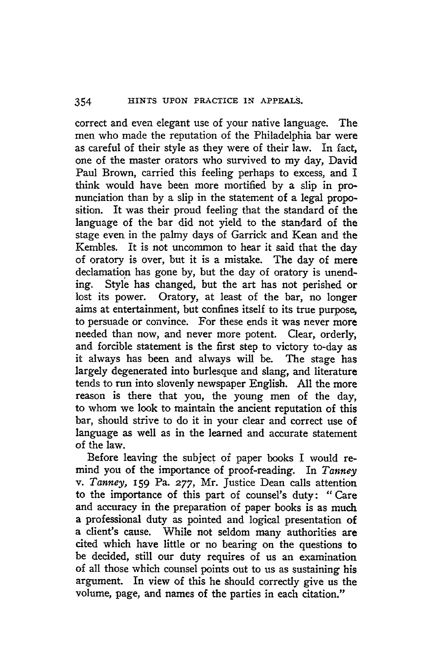correct and even elegant use of your native language. The men who made the reputation of the Philadelphia bar were as careful of their style as they were of their law. In fact, one of the master orators who survived to my day, David Paul Brown, carried this feeling perhaps to excess, and I think would have been more mortified by a slip in pronunciation than by a slip in the statement of a legal proposition. It was their proud feeling that the standard of the language of the bar did not yield to the standard of the stage even in the palmy days of Garrick and Kean and the Kembles. it is not uncommon to hear it said that the day of oratory is over, but it is a mistake. The day of mere declamation has gone by, but the day of oratory is unending. Style has changed, but the art has not perished or lost its power. Oratory, at least of the bar, no longer aims at entertainment, but confines itself to its true purpose, to persuade or convince. For these ends it was never more needed than now, and never more potent. Clear, orderly, and forcible statement is the first step to victory to-day as it always has been and always will be. The stage has largely degenerated into burlesque and slang, and literature tends to run into slovenly newspaper English. All the more reason is there that you, the young men of the day, to whom we look to maintain the ancient reputation of this bar, should strive to do it in your clear and correct use of language as well as in the learned and accurate statement of the law.

Before leaving the subject of paper books I would remind you of the importance of proof-reading. In *Tanney v. Tanney,* **159** Pa. **277,** Mr. Justice Dean calls attention to the importance of this part of counsel's duty: "Care and accuracy in the preparation of paper books is as much a professional duty as pointed and logical presentation of a client's cause. While not seldom many authorities are cited which have little or no bearing on the questions to be decided, still our duty requires of us an examination of all those which counsel points out to us as sustaining his argument. In view of this he should correctly give us the volume, page, and names of the parties in each citation."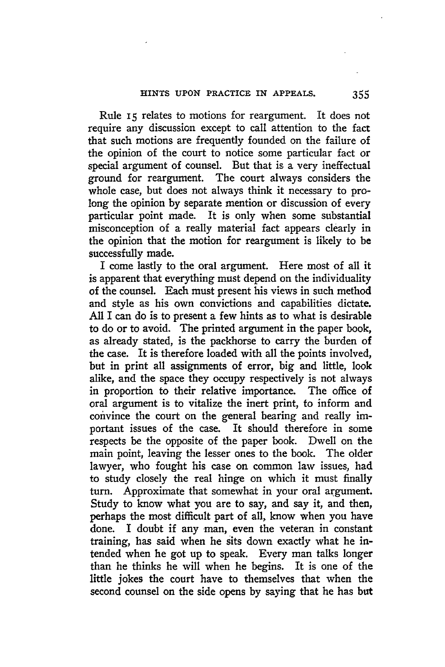### **HINTS UPON PRACTICE** IN **APPEALS.**

Rule 15 relates to motions for reargument. It does not require any discussion except to call attention to the fact that such motions are frequently founded on the failure of the opinion of the court to notice some particular fact or special argument of counsel. But that is a very ineffectual ground for reargument. The court always considers the whole case, but does not always think it necessary to prolong the opinion by separate mention or discussion of every particular point made. It is only when some substantial misconception of a really material fact appears clearly in the opinion that the motion for reargument is likely to be successfully made.

I come lastly to the oral argument. Here most of all it is apparent that everything must depend on the individuality of the counsel. Each must present his views in such method and style as his own convictions and capabilities dictate. All I can do is to present a few hints as to what is desirable to do or to avoid. The printed argument in the paper book, as already stated, is the packhorse to carry the burden of the case. It is therefore loaded with all the points involved, but in print all assignments of error, big and little, look alike, and the space they occupy respectively is not always in proportion to their relative importance. The office of oral argument is to vitalize the inert print, to inform and convince the court on the general bearing and really important issues of the case. It should therefore in some respects be the opposite of the paper book. Dwell on the main point, leaving the lesser ones to the book. The older lawyer, who fought his case on common law issues, had to study closely the real hinge on which it must finally turn. Approximate that somewhat in your oral argument. Study to know what you are to say, and say it, and then, perhaps the most difficult part of all, know when you have done. I doubt if any man, even the veteran in constant training, has said when he sits down exactly what he intended when he got up to speak. Every man talks longer than he thinks he will when he begins. It is one of the little jokes the court have to themselves that when the second counsel on the side opens by saying that he has but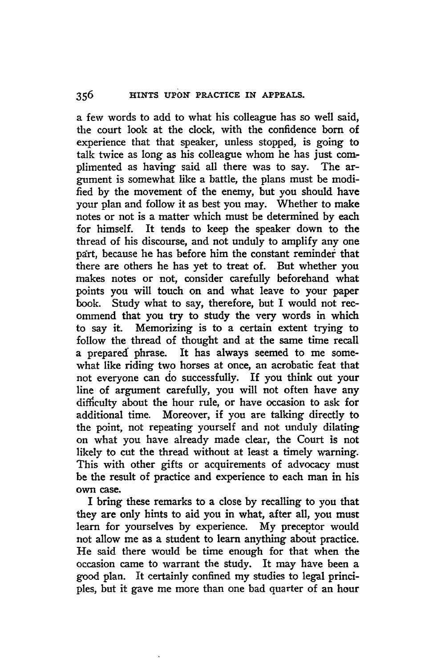#### 356 **HINTS UPON PRACTICE** IN **APPEALS.**

a few words to add to what his colleague has so well said, the court look at the clock, with the confidence born of experience that that speaker, unless stopped, is going to talk twice as long as his colleague whom he has just complimented as having said all there was to say. The argument is somewhat like a battle, the plans must be modified by the movement of the enemy, but you should have your plan and follow it as best you may. Whether to make notes or not is a matter which must be determined **by** each for himself. It tends to keep the speaker down to the thread of his discourse, and not unduly to amplify any one part, because he has before him the constant reminder that there are others he has yet to treat of. But whether you makes notes or not, consider carefully beforehand what points you will touch on and what leave to your paper book. Study what to say, therefore, but I would not recommend that you try to study the very words in which to say it. Memorizing is to a certain extent trying to follow the thread of thought and at the same time recall a prepared phrase. It has always seemed to me somewhat like riding two horses at once, an acrobatic feat that not everyone can do successfully. If you think out your line of argument carefully, you will not often have any difficulty about the hour rule, or have occasion to ask for additional time. Moreover, if you are talking directly to the point, not repeating yourself and not unduly dilating on what you have already made clear, the Court is not likely to cut the thread without at least a timely warning. This with other gifts or acquirements of advocacy must be the result of practice and experience to each man in his own case.

I bring these remarks to a close **by** recalling to you that they are only hints to aid you in what, after all, you must learn for yourselves **by** experience. **My** preceptor would not allow me as a student to learn anything about practice. He said there would be time enough for that when the occasion came to warrant the study. It may have been a good plan. It certainly confined my studies to legal principles, but it gave me more than one bad quarter of an hour